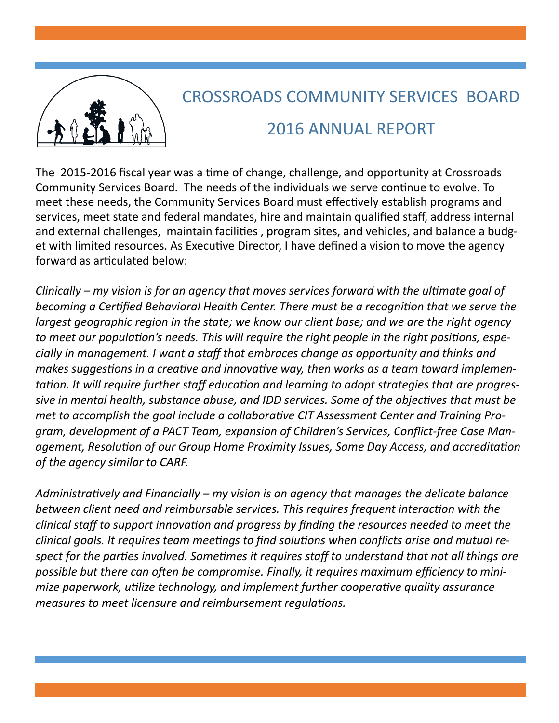

## CROSSROADS COMMUNITY SERVICES BOARD 2016 ANNUAL REPORT

The 2015-2016 fiscal year was a time of change, challenge, and opportunity at Crossroads Community Services Board. The needs of the individuals we serve continue to evolve. To meet these needs, the Community Services Board must effectively establish programs and services, meet state and federal mandates, hire and maintain qualified staff, address internal and external challenges, maintain facilities , program sites, and vehicles, and balance a budget with limited resources. As Executive Director, I have defined a vision to move the agency forward as articulated below:

*Clinically – my vision is for an agency that moves services forward with the ultimate goal of becoming a Certified Behavioral Health Center. There must be a recognition that we serve the largest geographic region in the state; we know our client base; and we are the right agency to meet our population's needs. This will require the right people in the right positions, especially in management. I want a staff that embraces change as opportunity and thinks and makes suggestions in a creative and innovative way, then works as a team toward implementation. It will require further staff education and learning to adopt strategies that are progressive in mental health, substance abuse, and IDD services. Some of the objectives that must be met to accomplish the goal include a collaborative CIT Assessment Center and Training Program, development of a PACT Team, expansion of Children's Services, Conflict-free Case Management, Resolution of our Group Home Proximity Issues, Same Day Access, and accreditation of the agency similar to CARF.*

*Administratively and Financially – my vision is an agency that manages the delicate balance between client need and reimbursable services. This requires frequent interaction with the clinical staff to support innovation and progress by finding the resources needed to meet the clinical goals. It requires team meetings to find solutions when conflicts arise and mutual respect for the parties involved. Sometimes it requires staff to understand that not all things are possible but there can often be compromise. Finally, it requires maximum efficiency to minimize paperwork, utilize technology, and implement further cooperative quality assurance measures to meet licensure and reimbursement regulations.*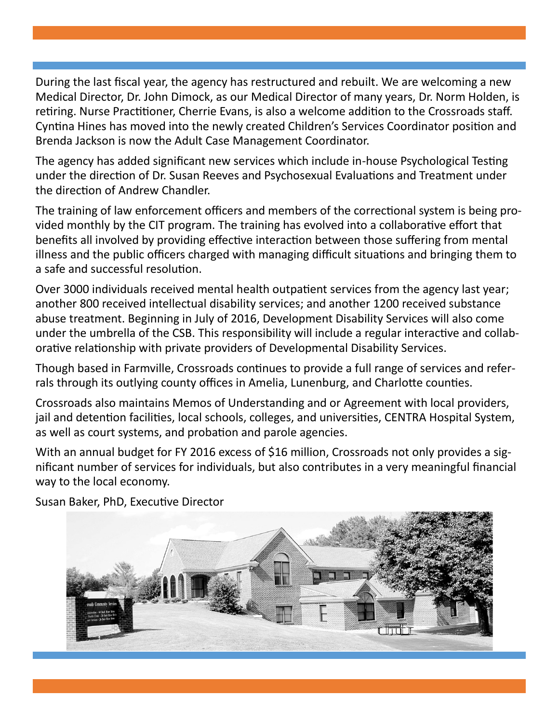During the last fiscal year, the agency has restructured and rebuilt. We are welcoming a new Medical Director, Dr. John Dimock, as our Medical Director of many years, Dr. Norm Holden, is retiring. Nurse Practitioner, Cherrie Evans, is also a welcome addition to the Crossroads staff. Cyntina Hines has moved into the newly created Children's Services Coordinator position and Brenda Jackson is now the Adult Case Management Coordinator.

The agency has added significant new services which include in-house Psychological Testing under the direction of Dr. Susan Reeves and Psychosexual Evaluations and Treatment under the direction of Andrew Chandler.

The training of law enforcement officers and members of the correctional system is being provided monthly by the CIT program. The training has evolved into a collaborative effort that benefits all involved by providing effective interaction between those suffering from mental illness and the public officers charged with managing difficult situations and bringing them to a safe and successful resolution.

Over 3000 individuals received mental health outpatient services from the agency last year; another 800 received intellectual disability services; and another 1200 received substance abuse treatment. Beginning in July of 2016, Development Disability Services will also come under the umbrella of the CSB. This responsibility will include a regular interactive and collaborative relationship with private providers of Developmental Disability Services.

Though based in Farmville, Crossroads continues to provide a full range of services and referrals through its outlying county offices in Amelia, Lunenburg, and Charlotte counties.

Crossroads also maintains Memos of Understanding and or Agreement with local providers, jail and detention facilities, local schools, colleges, and universities, CENTRA Hospital System, as well as court systems, and probation and parole agencies.

With an annual budget for FY 2016 excess of \$16 million, Crossroads not only provides a significant number of services for individuals, but also contributes in a very meaningful financial way to the local economy.



Susan Baker, PhD, Executive Director